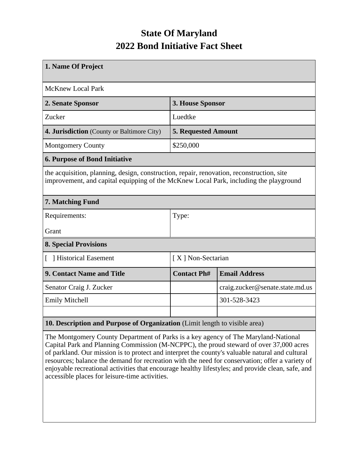## **State Of Maryland 2022 Bond Initiative Fact Sheet**

| 1. Name Of Project                                                                                                                                                                 |                            |                                 |  |  |  |
|------------------------------------------------------------------------------------------------------------------------------------------------------------------------------------|----------------------------|---------------------------------|--|--|--|
|                                                                                                                                                                                    |                            |                                 |  |  |  |
| <b>McKnew Local Park</b>                                                                                                                                                           |                            |                                 |  |  |  |
| 2. Senate Sponsor                                                                                                                                                                  | 3. House Sponsor           |                                 |  |  |  |
| Zucker                                                                                                                                                                             | Luedtke                    |                                 |  |  |  |
| 4. Jurisdiction (County or Baltimore City)                                                                                                                                         | <b>5. Requested Amount</b> |                                 |  |  |  |
| <b>Montgomery County</b>                                                                                                                                                           | \$250,000                  |                                 |  |  |  |
| <b>6. Purpose of Bond Initiative</b>                                                                                                                                               |                            |                                 |  |  |  |
| the acquisition, planning, design, construction, repair, renovation, reconstruction, site<br>improvement, and capital equipping of the McKnew Local Park, including the playground |                            |                                 |  |  |  |
| 7. Matching Fund                                                                                                                                                                   |                            |                                 |  |  |  |
| Requirements:                                                                                                                                                                      | Type:                      |                                 |  |  |  |
| Grant                                                                                                                                                                              |                            |                                 |  |  |  |
| <b>8. Special Provisions</b>                                                                                                                                                       |                            |                                 |  |  |  |
| Historical Easement                                                                                                                                                                | [X] Non-Sectarian          |                                 |  |  |  |
| 9. Contact Name and Title                                                                                                                                                          | <b>Contact Ph#</b>         | <b>Email Address</b>            |  |  |  |
| Senator Craig J. Zucker                                                                                                                                                            |                            | craig.zucker@senate.state.md.us |  |  |  |
| <b>Emily Mitchell</b>                                                                                                                                                              |                            | 301-528-3423                    |  |  |  |
|                                                                                                                                                                                    |                            |                                 |  |  |  |
| 10. Description and Purpose of Organization (Limit length to visible area)                                                                                                         |                            |                                 |  |  |  |

The Montgomery County Department of Parks is a key agency of The Maryland-National Capital Park and Planning Commission (M-NCPPC), the proud steward of over 37,000 acres of parkland. Our mission is to protect and interpret the county's valuable natural and cultural resources; balance the demand for recreation with the need for conservation; offer a variety of enjoyable recreational activities that encourage healthy lifestyles; and provide clean, safe, and accessible places for leisure-time activities.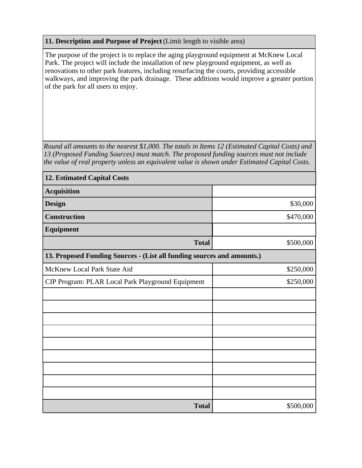## **11. Description and Purpose of Project** (Limit length to visible area)

The purpose of the project is to replace the aging playground equipment at McKnew Local Park. The project will include the installation of new playground equipment, as well as renovations to other park features, including resurfacing the courts, providing accessible walkways, and improving the park drainage. These additions would improve a greater portion of the park for all users to enjoy.

*Round all amounts to the nearest \$1,000. The totals in Items 12 (Estimated Capital Costs) and 13 (Proposed Funding Sources) must match. The proposed funding sources must not include the value of real property unless an equivalent value is shown under Estimated Capital Costs.*

| <b>12. Estimated Capital Costs</b>                                     |           |  |  |  |  |
|------------------------------------------------------------------------|-----------|--|--|--|--|
| <b>Acquisition</b>                                                     |           |  |  |  |  |
| <b>Design</b>                                                          | \$30,000  |  |  |  |  |
| <b>Construction</b>                                                    | \$470,000 |  |  |  |  |
| Equipment                                                              |           |  |  |  |  |
| <b>Total</b>                                                           | \$500,000 |  |  |  |  |
| 13. Proposed Funding Sources - (List all funding sources and amounts.) |           |  |  |  |  |
| McKnew Local Park State Aid                                            | \$250,000 |  |  |  |  |
| CIP Program: PLAR Local Park Playground Equipment                      | \$250,000 |  |  |  |  |
|                                                                        |           |  |  |  |  |
|                                                                        |           |  |  |  |  |
|                                                                        |           |  |  |  |  |
|                                                                        |           |  |  |  |  |
|                                                                        |           |  |  |  |  |
|                                                                        |           |  |  |  |  |
|                                                                        |           |  |  |  |  |
|                                                                        |           |  |  |  |  |
|                                                                        |           |  |  |  |  |
| <b>Total</b>                                                           | \$500,000 |  |  |  |  |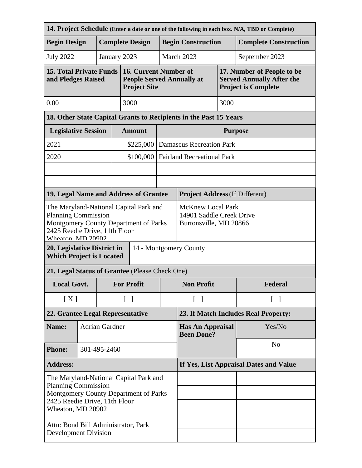| 14. Project Schedule (Enter a date or one of the following in each box. N/A, TBD or Complete)                                                                       |      |                        |                                                                                |                                                                                  |                                   |                                              |         |                                                                                              |  |
|---------------------------------------------------------------------------------------------------------------------------------------------------------------------|------|------------------------|--------------------------------------------------------------------------------|----------------------------------------------------------------------------------|-----------------------------------|----------------------------------------------|---------|----------------------------------------------------------------------------------------------|--|
| <b>Begin Design</b>                                                                                                                                                 |      | <b>Complete Design</b> |                                                                                |                                                                                  |                                   | <b>Begin Construction</b>                    |         | <b>Complete Construction</b>                                                                 |  |
| <b>July 2022</b>                                                                                                                                                    |      |                        | January 2023                                                                   |                                                                                  |                                   | March 2023<br>September 2023                 |         |                                                                                              |  |
| 15. Total Private Funds<br>and Pledges Raised                                                                                                                       |      |                        |                                                                                | 16. Current Number of<br><b>People Served Annually at</b><br><b>Project Site</b> |                                   |                                              |         | 17. Number of People to be<br><b>Served Annually After the</b><br><b>Project is Complete</b> |  |
| 0.00                                                                                                                                                                | 3000 |                        |                                                                                |                                                                                  | 3000                              |                                              |         |                                                                                              |  |
| 18. Other State Capital Grants to Recipients in the Past 15 Years                                                                                                   |      |                        |                                                                                |                                                                                  |                                   |                                              |         |                                                                                              |  |
| <b>Legislative Session</b>                                                                                                                                          |      |                        | <b>Amount</b>                                                                  |                                                                                  | <b>Purpose</b>                    |                                              |         |                                                                                              |  |
| 2021                                                                                                                                                                |      |                        |                                                                                | \$225,000                                                                        |                                   | <b>Damascus Recreation Park</b>              |         |                                                                                              |  |
| 2020                                                                                                                                                                |      |                        |                                                                                | \$100,000                                                                        | <b>Fairland Recreational Park</b> |                                              |         |                                                                                              |  |
|                                                                                                                                                                     |      |                        |                                                                                |                                                                                  |                                   |                                              |         |                                                                                              |  |
|                                                                                                                                                                     |      |                        |                                                                                |                                                                                  |                                   |                                              |         |                                                                                              |  |
| 19. Legal Name and Address of Grantee                                                                                                                               |      |                        |                                                                                |                                                                                  |                                   | <b>Project Address (If Different)</b>        |         |                                                                                              |  |
| The Maryland-National Capital Park and<br><b>Planning Commission</b><br>Montgomery County Department of Parks<br>2425 Reedie Drive, 11th Floor<br>Wheaton MD 20002  |      |                        | <b>McKnew Local Park</b><br>14901 Saddle Creek Drive<br>Burtonsville, MD 20866 |                                                                                  |                                   |                                              |         |                                                                                              |  |
| 14 - Montgomery County<br>20. Legislative District in<br><b>Which Project is Located</b>                                                                            |      |                        |                                                                                |                                                                                  |                                   |                                              |         |                                                                                              |  |
| 21. Legal Status of Grantee (Please Check One)                                                                                                                      |      |                        |                                                                                |                                                                                  |                                   |                                              |         |                                                                                              |  |
| <b>Local Govt.</b>                                                                                                                                                  |      |                        | <b>For Profit</b>                                                              |                                                                                  | <b>Non Profit</b>                 |                                              | Federal |                                                                                              |  |
| [X]                                                                                                                                                                 |      |                        | $\lceil \; \rceil$                                                             |                                                                                  | $\lceil \ \rceil$                 | $\lceil \; \rceil$                           |         |                                                                                              |  |
| 22. Grantee Legal Representative                                                                                                                                    |      |                        | 23. If Match Includes Real Property:                                           |                                                                                  |                                   |                                              |         |                                                                                              |  |
| Name:                                                                                                                                                               |      | <b>Adrian Gardner</b>  |                                                                                |                                                                                  |                                   | <b>Has An Appraisal</b><br><b>Been Done?</b> |         | Yes/No                                                                                       |  |
| <b>Phone:</b>                                                                                                                                                       |      |                        | 301-495-2460                                                                   |                                                                                  |                                   |                                              |         | N <sub>o</sub>                                                                               |  |
| <b>Address:</b>                                                                                                                                                     |      |                        | If Yes, List Appraisal Dates and Value                                         |                                                                                  |                                   |                                              |         |                                                                                              |  |
| The Maryland-National Capital Park and<br><b>Planning Commission</b><br>Montgomery County Department of Parks<br>2425 Reedie Drive, 11th Floor<br>Wheaton, MD 20902 |      |                        |                                                                                |                                                                                  |                                   |                                              |         |                                                                                              |  |
| Attn: Bond Bill Administrator, Park<br><b>Development Division</b>                                                                                                  |      |                        |                                                                                |                                                                                  |                                   |                                              |         |                                                                                              |  |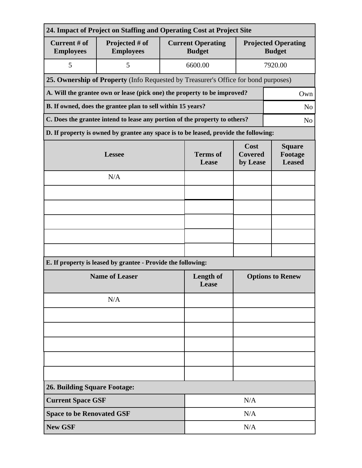| 24. Impact of Project on Staffing and Operating Cost at Project Site                         |                                                                                      |                          |                                           |                                             |         |  |
|----------------------------------------------------------------------------------------------|--------------------------------------------------------------------------------------|--------------------------|-------------------------------------------|---------------------------------------------|---------|--|
| Current # of<br><b>Employees</b>                                                             | Projected # of<br><b>Employees</b>                                                   |                          | <b>Current Operating</b><br><b>Budget</b> | <b>Projected Operating</b><br><b>Budget</b> |         |  |
| 5                                                                                            | 5                                                                                    |                          | 6600.00                                   |                                             | 7920.00 |  |
| 25. Ownership of Property (Info Requested by Treasurer's Office for bond purposes)           |                                                                                      |                          |                                           |                                             |         |  |
| A. Will the grantee own or lease (pick one) the property to be improved?<br>Own              |                                                                                      |                          |                                           |                                             |         |  |
| B. If owned, does the grantee plan to sell within 15 years?<br>N <sub>o</sub>                |                                                                                      |                          |                                           |                                             |         |  |
| C. Does the grantee intend to lease any portion of the property to others?<br>N <sub>o</sub> |                                                                                      |                          |                                           |                                             |         |  |
|                                                                                              | D. If property is owned by grantee any space is to be leased, provide the following: |                          |                                           |                                             |         |  |
|                                                                                              | <b>Lessee</b>                                                                        | <b>Terms</b> of<br>Lease | Cost<br><b>Covered</b><br>by Lease        | <b>Square</b><br>Footage<br><b>Leased</b>   |         |  |
|                                                                                              | N/A                                                                                  |                          |                                           |                                             |         |  |
|                                                                                              |                                                                                      |                          |                                           |                                             |         |  |
|                                                                                              |                                                                                      |                          |                                           |                                             |         |  |
|                                                                                              |                                                                                      |                          |                                           |                                             |         |  |
|                                                                                              |                                                                                      |                          |                                           |                                             |         |  |
|                                                                                              |                                                                                      |                          |                                           |                                             |         |  |
| E. If property is leased by grantee - Provide the following:                                 |                                                                                      |                          |                                           |                                             |         |  |
| <b>Name of Leaser</b>                                                                        |                                                                                      |                          | <b>Length of</b><br>Lease                 | <b>Options to Renew</b>                     |         |  |
|                                                                                              | N/A                                                                                  |                          |                                           |                                             |         |  |
|                                                                                              |                                                                                      |                          |                                           |                                             |         |  |
|                                                                                              |                                                                                      |                          |                                           |                                             |         |  |
|                                                                                              |                                                                                      |                          |                                           |                                             |         |  |
|                                                                                              |                                                                                      |                          |                                           |                                             |         |  |
|                                                                                              |                                                                                      |                          |                                           |                                             |         |  |
| <b>26. Building Square Footage:</b>                                                          |                                                                                      |                          |                                           |                                             |         |  |
| <b>Current Space GSF</b>                                                                     |                                                                                      | N/A                      |                                           |                                             |         |  |
| <b>Space to be Renovated GSF</b>                                                             |                                                                                      |                          | N/A                                       |                                             |         |  |
| <b>New GSF</b>                                                                               |                                                                                      |                          | N/A                                       |                                             |         |  |